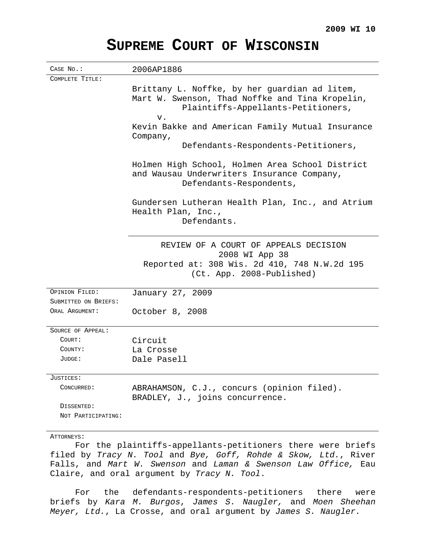# **SUPREME COURT OF WISCONSIN**

| CASE No.:            | 2006AP1886                                       |
|----------------------|--------------------------------------------------|
| COMPLETE TITLE:      |                                                  |
|                      | Brittany L. Noffke, by her guardian ad litem,    |
|                      | Mart W. Swenson, Thad Noffke and Tina Kropelin,  |
|                      | Plaintiffs-Appellants-Petitioners,               |
|                      | v.                                               |
|                      | Kevin Bakke and American Family Mutual Insurance |
|                      | Company,                                         |
|                      | Defendants-Respondents-Petitioners,              |
|                      | Holmen High School, Holmen Area School District  |
|                      | and Wausau Underwriters Insurance Company,       |
|                      | Defendants-Respondents,                          |
|                      | Gundersen Lutheran Health Plan, Inc., and Atrium |
|                      | Health Plan, Inc.,                               |
|                      | Defendants.                                      |
|                      |                                                  |
|                      | REVIEW OF A COURT OF APPEALS DECISION            |
|                      | 2008 WI App 38                                   |
|                      | Reported at: 308 Wis. 2d 410, 748 N.W.2d 195     |
|                      | (Ct. App. 2008-Published)                        |
| OPINION FILED:       | January 27, 2009                                 |
| SUBMITTED ON BRIEFS: |                                                  |
| ORAL ARGUMENT:       | October 8, 2008                                  |
|                      |                                                  |
| SOURCE OF APPEAL:    |                                                  |
| COURT:               | Circuit                                          |
| COUNTY:              | La Crosse                                        |
| JUDGE:               | Dale Pasell                                      |
| $_{\rm JUSTICES}$ :  |                                                  |
| CONCURRED:           | ABRAHAMSON, C.J., concurs (opinion filed).       |
|                      | BRADLEY, J., joins concurrence.                  |
| DISSENTED:           |                                                  |
| NOT PARTICIPATING:   |                                                  |
| ATTORNEYS:           |                                                  |
|                      |                                                  |

For the plaintiffs-appellants-petitioners there were briefs filed by Tracy N. Tool and Bye, Goff, Rohde & Skow, Ltd., River Falls, and Mart W. Swenson and Laman & Swenson Law Office, Eau Claire, and oral argument by Tracy N. Tool.

For the defendants-respondents-petitioners there were briefs by Kara M. Burgos, James S. Naugler, and Moen Sheehan Meyer, Ltd., La Crosse, and oral argument by James S. Naugler.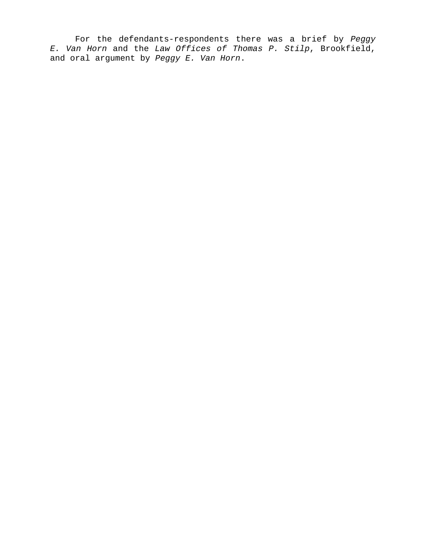For the defendants-respondents there was a brief by Peggy E. Van Horn and the Law Offices of Thomas P. Stilp, Brookfield, and oral argument by Peggy E. Van Horn.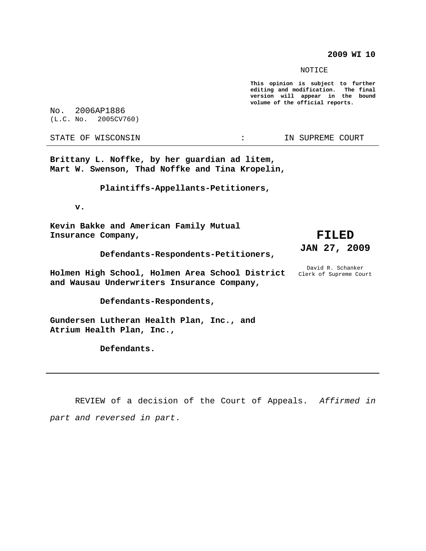**2009 WI 10**

NOTICE

**This opinion is subject to further editing and modification. The final version will appear in the bound volume of the official reports.**

No. 2006AP1886 (L.C. No. 2005CV760)

STATE OF WISCONSIN THE RESERVE OF STATE OF WISCONSIN

**Brittany L. Noffke, by her guardian ad litem, Mart W. Swenson, Thad Noffke and Tina Kropelin,**

**Plaintiffs-Appellants-Petitioners,**

**v.**

**Kevin Bakke and American Family Mutual Insurance Company,**

**Defendants-Respondents-Petitioners,**

**Holmen High School, Holmen Area School District and Wausau Underwriters Insurance Company,**

**Defendants-Respondents,**

**Gundersen Lutheran Health Plan, Inc., and Atrium Health Plan, Inc.,**

**Defendants.**

# **FILED JAN 27, 2009**

David R. Schanker Clerk of Supreme Court

REVIEW of a decision of the Court of Appeals. Affirmed in part and reversed in part.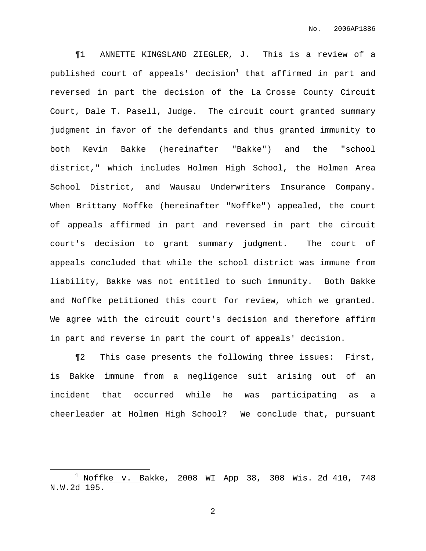¶1 ANNETTE KINGSLAND ZIEGLER, J. This is a review of a published court of appeals' decision $^1$  that affirmed in part and reversed in part the decision of the La Crosse County Circuit Court, Dale T. Pasell, Judge. The circuit court granted summary judgment in favor of the defendants and thus granted immunity to both Kevin Bakke (hereinafter "Bakke") and the "school district," which includes Holmen High School, the Holmen Area School District, and Wausau Underwriters Insurance Company. When Brittany Noffke (hereinafter "Noffke") appealed, the court of appeals affirmed in part and reversed in part the circuit court's decision to grant summary judgment. The court of appeals concluded that while the school district was immune from liability, Bakke was not entitled to such immunity. Both Bakke and Noffke petitioned this court for review, which we granted. We agree with the circuit court's decision and therefore affirm in part and reverse in part the court of appeals' decision.

¶2 This case presents the following three issues: First, is Bakke immune from a negligence suit arising out of an incident that occurred while he was participating as a cheerleader at Holmen High School? We conclude that, pursuant

 $1$  Noffke v. Bakke, 2008 WI App 38, 308 Wis. 2d 410, 748 N.W.2d 195.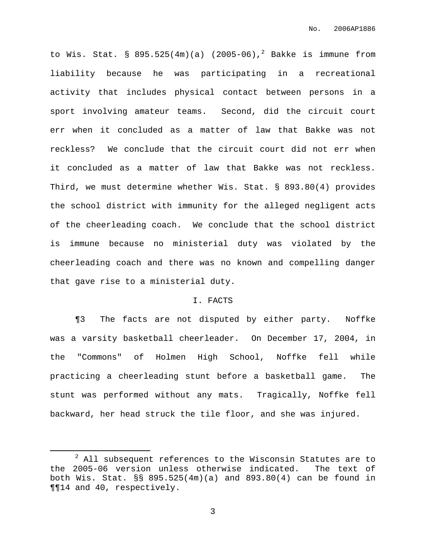to Wis. Stat. §  $895.525(4\text{m})(a)$  (2005-06),<sup>2</sup> Bakke is immune from liability because he was participating in a recreational activity that includes physical contact between persons in a sport involving amateur teams. Second, did the circuit court err when it concluded as a matter of law that Bakke was not reckless? We conclude that the circuit court did not err when it concluded as a matter of law that Bakke was not reckless. Third, we must determine whether Wis. Stat. § 893.80(4) provides the school district with immunity for the alleged negligent acts of the cheerleading coach. We conclude that the school district is immune because no ministerial duty was violated by the cheerleading coach and there was no known and compelling danger that gave rise to a ministerial duty.

#### I. FACTS

¶3 The facts are not disputed by either party. Noffke was a varsity basketball cheerleader. On December 17, 2004, in the "Commons" of Holmen High School, Noffke fell while practicing a cheerleading stunt before a basketball game. The stunt was performed without any mats. Tragically, Noffke fell backward, her head struck the tile floor, and she was injured.

<sup>&</sup>lt;sup>2</sup> All subsequent references to the Wisconsin Statutes are to the 2005-06 version unless otherwise indicated. The text of both Wis. Stat. §§ 895.525(4m)(a) and 893.80(4) can be found in ¶¶14 and 40, respectively.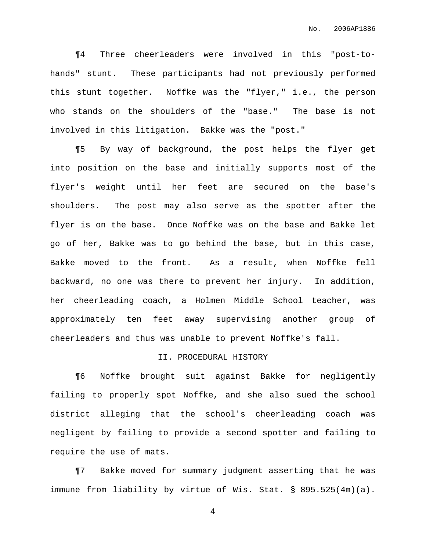¶4 Three cheerleaders were involved in this "post-tohands" stunt. These participants had not previously performed this stunt together. Noffke was the "flyer," i.e., the person who stands on the shoulders of the "base." The base is not involved in this litigation. Bakke was the "post."

¶5 By way of background, the post helps the flyer get into position on the base and initially supports most of the flyer's weight until her feet are secured on the base's shoulders. The post may also serve as the spotter after the flyer is on the base. Once Noffke was on the base and Bakke let go of her, Bakke was to go behind the base, but in this case, Bakke moved to the front. As a result, when Noffke fell backward, no one was there to prevent her injury. In addition, her cheerleading coach, a Holmen Middle School teacher, was approximately ten feet away supervising another group of cheerleaders and thus was unable to prevent Noffke's fall.

# II. PROCEDURAL HISTORY

¶6 Noffke brought suit against Bakke for negligently failing to properly spot Noffke, and she also sued the school district alleging that the school's cheerleading coach was negligent by failing to provide a second spotter and failing to require the use of mats.

¶7 Bakke moved for summary judgment asserting that he was immune from liability by virtue of Wis. Stat. § 895.525(4m)(a).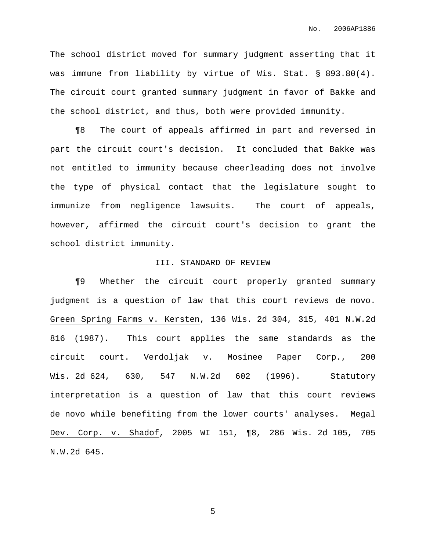The school district moved for summary judgment asserting that it was immune from liability by virtue of Wis. Stat. § 893.80(4). The circuit court granted summary judgment in favor of Bakke and the school district, and thus, both were provided immunity.

¶8 The court of appeals affirmed in part and reversed in part the circuit court's decision. It concluded that Bakke was not entitled to immunity because cheerleading does not involve the type of physical contact that the legislature sought to immunize from negligence lawsuits. The court of appeals, however, affirmed the circuit court's decision to grant the school district immunity.

#### III. STANDARD OF REVIEW

¶9 Whether the circuit court properly granted summary judgment is a question of law that this court reviews de novo. Green Spring Farms v. Kersten, 136 Wis. 2d 304, 315, 401 N.W.2d 816 (1987). This court applies the same standards as the circuit court. Verdoljak v. Mosinee Paper Corp., 200 Wis. 2d 624, 630, 547 N.W.2d 602 (1996). Statutory interpretation is a question of law that this court reviews de novo while benefiting from the lower courts' analyses. Megal Dev. Corp. v. Shadof, 2005 WI 151, ¶8, 286 Wis. 2d 105, 705 N.W.2d 645.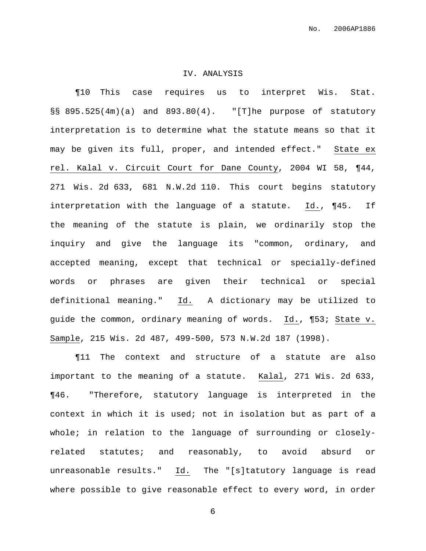#### IV. ANALYSIS

¶10 This case requires us to interpret Wis. Stat. §§ 895.525(4m)(a) and 893.80(4). "[T]he purpose of statutory interpretation is to determine what the statute means so that it may be given its full, proper, and intended effect." State ex rel. Kalal v. Circuit Court for Dane County, 2004 WI 58, ¶44, 271 Wis. 2d 633, 681 N.W.2d 110. This court begins statutory interpretation with the language of a statute. Id., ¶45. If the meaning of the statute is plain, we ordinarily stop the inquiry and give the language its "common, ordinary, and accepted meaning, except that technical or specially-defined words or phrases are given their technical or special definitional meaning." Id. A dictionary may be utilized to guide the common, ordinary meaning of words. Id., ¶53; State v. Sample, 215 Wis. 2d 487, 499-500, 573 N.W.2d 187 (1998).

¶11 The context and structure of a statute are also important to the meaning of a statute. Kalal, 271 Wis. 2d 633, ¶46. "Therefore, statutory language is interpreted in the context in which it is used; not in isolation but as part of a whole; in relation to the language of surrounding or closelyrelated statutes; and reasonably, to avoid absurd or unreasonable results." Id. The "[s]tatutory language is read where possible to give reasonable effect to every word, in order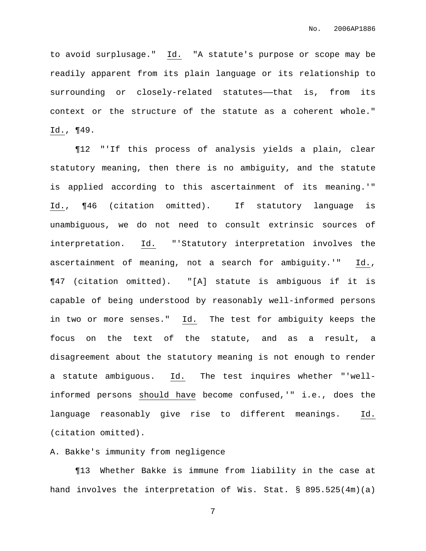to avoid surplusage." Id. "A statute's purpose or scope may be readily apparent from its plain language or its relationship to surrounding or closely-related statutes--that is, from its context or the structure of the statute as a coherent whole." Id., ¶49.

¶12 "'If this process of analysis yields a plain, clear statutory meaning, then there is no ambiguity, and the statute is applied according to this ascertainment of its meaning.'" Id., ¶46 (citation omitted). If statutory language is unambiguous, we do not need to consult extrinsic sources of interpretation. Id. "'Statutory interpretation involves the ascertainment of meaning, not a search for ambiguity.'" Id., ¶47 (citation omitted). "[A] statute is ambiguous if it is capable of being understood by reasonably well-informed persons in two or more senses." Id. The test for ambiguity keeps the focus on the text of the statute, and as a result, a disagreement about the statutory meaning is not enough to render a statute ambiguous. Id. The test inquires whether "'wellinformed persons should have become confused,'" i.e., does the language reasonably give rise to different meanings. Id. (citation omitted).

A. Bakke's immunity from negligence

¶13 Whether Bakke is immune from liability in the case at hand involves the interpretation of Wis. Stat. § 895.525(4m)(a)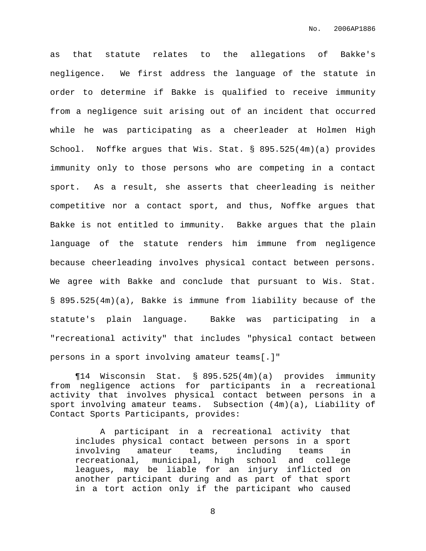as that statute relates to the allegations of Bakke's negligence. We first address the language of the statute in order to determine if Bakke is qualified to receive immunity from a negligence suit arising out of an incident that occurred while he was participating as a cheerleader at Holmen High School. Noffke argues that Wis. Stat. § 895.525(4m)(a) provides immunity only to those persons who are competing in a contact sport. As a result, she asserts that cheerleading is neither competitive nor a contact sport, and thus, Noffke argues that Bakke is not entitled to immunity. Bakke argues that the plain language of the statute renders him immune from negligence because cheerleading involves physical contact between persons. We agree with Bakke and conclude that pursuant to Wis. Stat. § 895.525(4m)(a), Bakke is immune from liability because of the statute's plain language. Bakke was participating in a "recreational activity" that includes "physical contact between persons in a sport involving amateur teams[.]"

¶14 Wisconsin Stat. § 895.525(4m)(a) provides immunity from negligence actions for participants in a recreational activity that involves physical contact between persons in a sport involving amateur teams. Subsection (4m)(a), Liability of Contact Sports Participants, provides:

A participant in a recreational activity that includes physical contact between persons in a sport involving amateur teams, including teams in recreational, municipal, high school and college leagues, may be liable for an injury inflicted on another participant during and as part of that sport in a tort action only if the participant who caused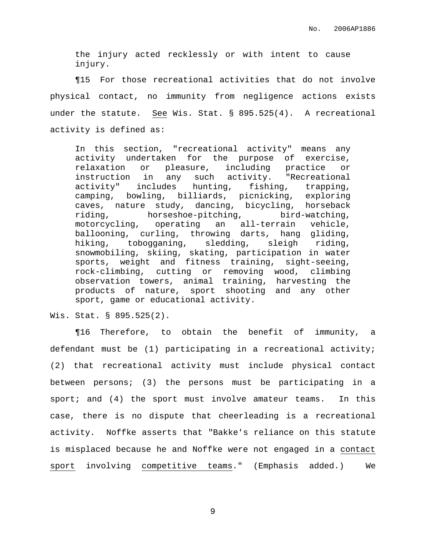the injury acted recklessly or with intent to cause injury.

¶15 For those recreational activities that do not involve physical contact, no immunity from negligence actions exists under the statute. See Wis. Stat. § 895.525(4). A recreational activity is defined as:

In this section, "recreational activity" means any activity undertaken for the purpose of exercise, relaxation or pleasure, including practice or instruction in any such activity. "Recreational activity" includes hunting, fishing, trapping, camping, bowling, billiards, picnicking, exploring caves, nature study, dancing, bicycling, horseback riding, horseshoe-pitching, bird-watching, motorcycling, operating an all-terrain vehicle, ballooning, curling, throwing darts, hang gliding, hiking, tobogganing, sledding, sleigh riding, snowmobiling, skiing, skating, participation in water sports, weight and fitness training, sight-seeing, rock-climbing, cutting or removing wood, climbing observation towers, animal training, harvesting the products of nature, sport shooting and any other sport, game or educational activity.

Wis. Stat. § 895.525(2).

¶16 Therefore, to obtain the benefit of immunity, a defendant must be (1) participating in a recreational activity; (2) that recreational activity must include physical contact between persons; (3) the persons must be participating in a sport; and (4) the sport must involve amateur teams. In this case, there is no dispute that cheerleading is a recreational activity. Noffke asserts that "Bakke's reliance on this statute is misplaced because he and Noffke were not engaged in a contact sport involving competitive teams." (Emphasis added.) We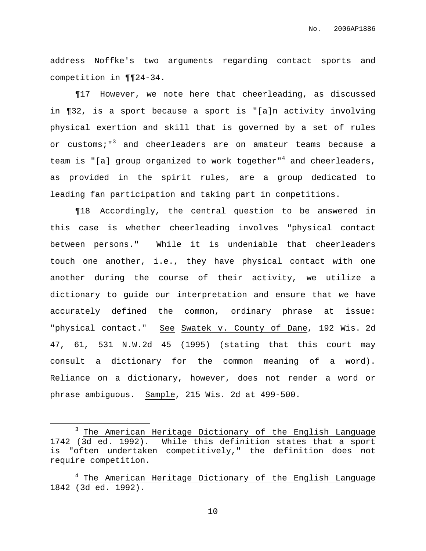address Noffke's two arguments regarding contact sports and competition in ¶¶24-34.

¶17 However, we note here that cheerleading, as discussed in ¶32, is a sport because a sport is "[a]n activity involving physical exertion and skill that is governed by a set of rules or customs;"<sup>3</sup> and cheerleaders are on amateur teams because a team is "[a] group organized to work together"<sup>4</sup> and cheerleaders, as provided in the spirit rules, are a group dedicated to leading fan participation and taking part in competitions.

¶18 Accordingly, the central question to be answered in this case is whether cheerleading involves "physical contact between persons." While it is undeniable that cheerleaders touch one another, i.e., they have physical contact with one another during the course of their activity, we utilize a dictionary to guide our interpretation and ensure that we have accurately defined the common, ordinary phrase at issue: "physical contact." See Swatek v. County of Dane, 192 Wis. 2d 47, 61, 531 N.W.2d 45 (1995) (stating that this court may consult a dictionary for the common meaning of a word). Reliance on a dictionary, however, does not render a word or phrase ambiguous. Sample, 215 Wis. 2d at 499-500.

<sup>&</sup>lt;sup>3</sup> The American Heritage Dictionary of the English Language 1742 (3d ed. 1992). While this definition states that a sport is "often undertaken competitively," the definition does not require competition.

<sup>&</sup>lt;sup>4</sup> The American Heritage Dictionary of the English Language 1842 (3d ed. 1992).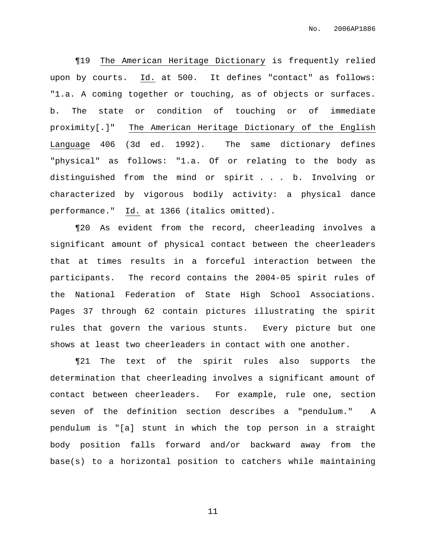¶19 The American Heritage Dictionary is frequently relied upon by courts. Id. at 500. It defines "contact" as follows: "1.a. A coming together or touching, as of objects or surfaces. b. The state or condition of touching or of immediate proximity[.]" The American Heritage Dictionary of the English Language 406 (3d ed. 1992). The same dictionary defines "physical" as follows: "1.a. Of or relating to the body as distinguished from the mind or spirit . . . b. Involving or characterized by vigorous bodily activity: a physical dance performance." Id. at 1366 (italics omitted).

¶20 As evident from the record, cheerleading involves a significant amount of physical contact between the cheerleaders that at times results in a forceful interaction between the participants. The record contains the 2004-05 spirit rules of the National Federation of State High School Associations. Pages 37 through 62 contain pictures illustrating the spirit rules that govern the various stunts. Every picture but one shows at least two cheerleaders in contact with one another.

¶21 The text of the spirit rules also supports the determination that cheerleading involves a significant amount of contact between cheerleaders. For example, rule one, section seven of the definition section describes a "pendulum." A pendulum is "[a] stunt in which the top person in a straight body position falls forward and/or backward away from the base(s) to a horizontal position to catchers while maintaining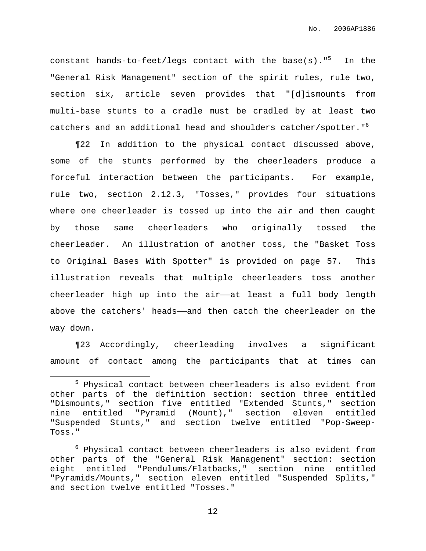constant hands-to-feet/legs contact with the base(s)."<sup>5</sup> In the "General Risk Management" section of the spirit rules, rule two, section six, article seven provides that "[d]ismounts from multi-base stunts to a cradle must be cradled by at least two catchers and an additional head and shoulders catcher/spotter." 6

¶22 In addition to the physical contact discussed above, some of the stunts performed by the cheerleaders produce a forceful interaction between the participants. For example, rule two, section 2.12.3, "Tosses," provides four situations where one cheerleader is tossed up into the air and then caught by those same cheerleaders who originally tossed the cheerleader. An illustration of another toss, the "Basket Toss to Original Bases With Spotter" is provided on page 57. This illustration reveals that multiple cheerleaders toss another cheerleader high up into the air——at least a full body length above the catchers' heads——and then catch the cheerleader on the way down.

¶23 Accordingly, cheerleading involves a significant amount of contact among the participants that at times can

<sup>&</sup>lt;sup>5</sup> Physical contact between cheerleaders is also evident from other parts of the definition section: section three entitled "Dismounts," section five entitled "Extended Stunts," section nine entitled "Pyramid (Mount)," section eleven entitled "Suspended Stunts," and section twelve entitled "Pop-Sweep-Toss."

 $6$  Physical contact between cheerleaders is also evident from other parts of the "General Risk Management" section: section eight entitled "Pendulums/Flatbacks," section nine entitled "Pyramids/Mounts," section eleven entitled "Suspended Splits," and section twelve entitled "Tosses."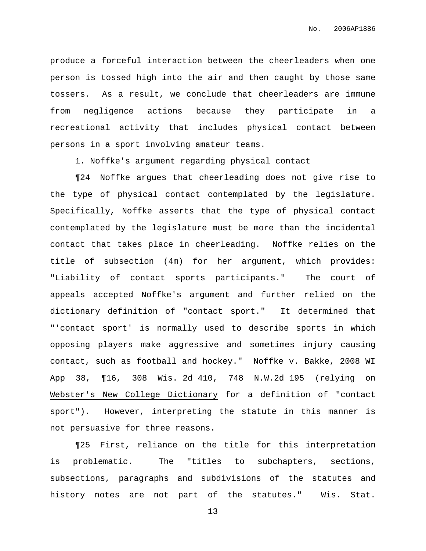produce a forceful interaction between the cheerleaders when one person is tossed high into the air and then caught by those same tossers. As a result, we conclude that cheerleaders are immune from negligence actions because they participate in a recreational activity that includes physical contact between persons in a sport involving amateur teams.

1. Noffke's argument regarding physical contact

¶24 Noffke argues that cheerleading does not give rise to the type of physical contact contemplated by the legislature. Specifically, Noffke asserts that the type of physical contact contemplated by the legislature must be more than the incidental contact that takes place in cheerleading. Noffke relies on the title of subsection (4m) for her argument, which provides: "Liability of contact sports participants." The court of appeals accepted Noffke's argument and further relied on the dictionary definition of "contact sport." It determined that "'contact sport' is normally used to describe sports in which opposing players make aggressive and sometimes injury causing contact, such as football and hockey." Noffke v. Bakke, 2008 WI App 38, ¶16, 308 Wis. 2d 410, 748 N.W.2d 195 (relying on Webster's New College Dictionary for a definition of "contact sport"). However, interpreting the statute in this manner is not persuasive for three reasons.

¶25 First, reliance on the title for this interpretation is problematic. The "titles to subchapters, sections, subsections, paragraphs and subdivisions of the statutes and history notes are not part of the statutes." Wis. Stat.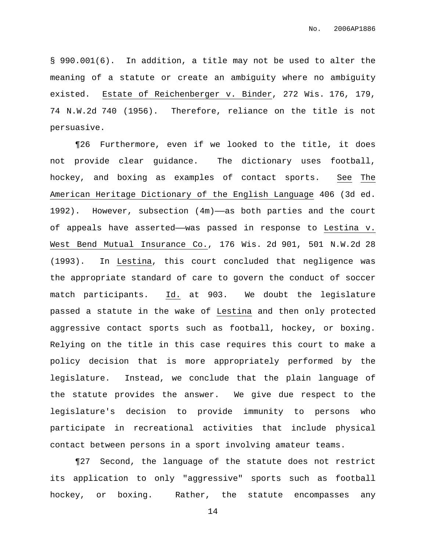§ 990.001(6). In addition, a title may not be used to alter the meaning of a statute or create an ambiguity where no ambiguity existed. Estate of Reichenberger v. Binder, 272 Wis. 176, 179, 74 N.W.2d 740 (1956). Therefore, reliance on the title is not persuasive.

¶26 Furthermore, even if we looked to the title, it does not provide clear guidance. The dictionary uses football, hockey, and boxing as examples of contact sports. See The American Heritage Dictionary of the English Language 406 (3d ed.  $1992$ ). However, subsection  $(4m)$ —as both parties and the court of appeals have asserted——was passed in response to Lestina v. West Bend Mutual Insurance Co., 176 Wis. 2d 901, 501 N.W.2d 28 (1993). In Lestina, this court concluded that negligence was the appropriate standard of care to govern the conduct of soccer match participants. Id. at 903. We doubt the legislature passed a statute in the wake of Lestina and then only protected aggressive contact sports such as football, hockey, or boxing. Relying on the title in this case requires this court to make a policy decision that is more appropriately performed by the legislature. Instead, we conclude that the plain language of the statute provides the answer. We give due respect to the legislature's decision to provide immunity to persons who participate in recreational activities that include physical contact between persons in a sport involving amateur teams.

¶27 Second, the language of the statute does not restrict its application to only "aggressive" sports such as football hockey, or boxing. Rather, the statute encompasses any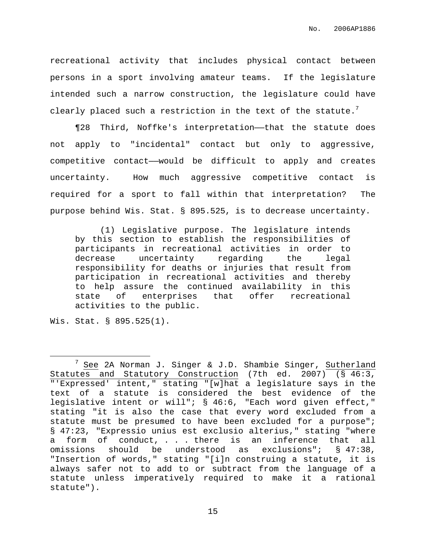recreational activity that includes physical contact between persons in a sport involving amateur teams. If the legislature intended such a narrow construction, the legislature could have clearly placed such a restriction in the text of the statute. $^7$ 

¶28 Third, Noffke's interpretation——that the statute does not apply to "incidental" contact but only to aggressive, competitive contact——would be difficult to apply and creates uncertainty. How much aggressive competitive contact is required for a sport to fall within that interpretation? The purpose behind Wis. Stat. § 895.525, is to decrease uncertainty.

(1) Legislative purpose. The legislature intends by this section to establish the responsibilities of participants in recreational activities in order to decrease uncertainty regarding the legal responsibility for deaths or injuries that result from participation in recreational activities and thereby to help assure the continued availability in this state of enterprises that offer recreational activities to the public.

Wis. Stat. § 895.525(1).

<sup>&</sup>lt;sup>7</sup> See 2A Norman J. Singer & J.D. Shambie Singer, Sutherland Statutes and Statutory Construction (7th ed. 2007) (§ 46:3, "'Expressed' intent," stating "[w]hat a legislature says in the text of a statute is considered the best evidence of the legislative intent or will"; § 46:6, "Each word given effect," stating "it is also the case that every word excluded from a statute must be presumed to have been excluded for a purpose"; § 47:23, "Expressio unius est exclusio alterius," stating "where a form of conduct, . . . there is an inference that all omissions should be understood as exclusions"; § 47:38, "Insertion of words," stating "[i]n construing a statute, it is always safer not to add to or subtract from the language of a statute unless imperatively required to make it a rational statute").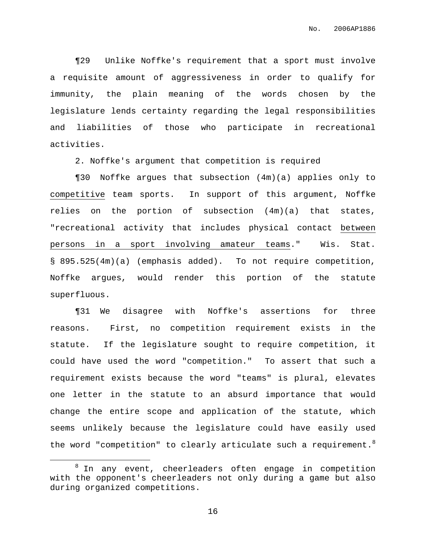¶29 Unlike Noffke's requirement that a sport must involve a requisite amount of aggressiveness in order to qualify for immunity, the plain meaning of the words chosen by the legislature lends certainty regarding the legal responsibilities and liabilities of those who participate in recreational activities.

2. Noffke's argument that competition is required

¶30 Noffke argues that subsection (4m)(a) applies only to competitive team sports. In support of this argument, Noffke relies on the portion of subsection (4m)(a) that states, "recreational activity that includes physical contact between persons in a sport involving amateur teams." Wis. Stat. § 895.525(4m)(a) (emphasis added). To not require competition, Noffke argues, would render this portion of the statute superfluous.

¶31 We disagree with Noffke's assertions for three reasons. First, no competition requirement exists in the statute. If the legislature sought to require competition, it could have used the word "competition." To assert that such a requirement exists because the word "teams" is plural, elevates one letter in the statute to an absurd importance that would change the entire scope and application of the statute, which seems unlikely because the legislature could have easily used the word "competition" to clearly articulate such a requirement. $^8$ 

<sup>&</sup>lt;sup>8</sup> In any event, cheerleaders often engage in competition with the opponent's cheerleaders not only during a game but also during organized competitions.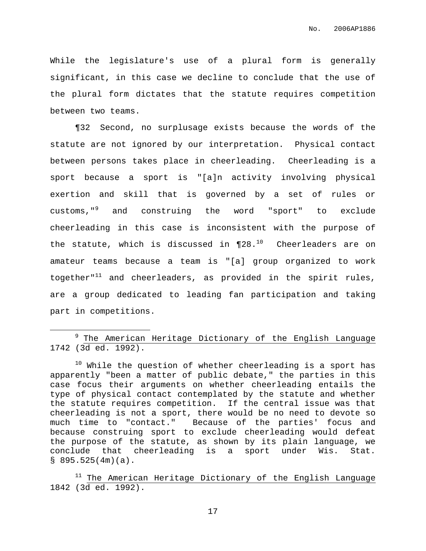While the legislature's use of a plural form is generally significant, in this case we decline to conclude that the use of the plural form dictates that the statute requires competition between two teams.

¶32 Second, no surplusage exists because the words of the statute are not ignored by our interpretation. Physical contact between persons takes place in cheerleading. Cheerleading is a sport because a sport is "[a]n activity involving physical exertion and skill that is governed by a set of rules or customs," <sup>9</sup> and construing the word "sport" to exclude cheerleading in this case is inconsistent with the purpose of the statute, which is discussed in ¶28.<sup>10</sup> Cheerleaders are on amateur teams because a team is "[a] group organized to work together"<sup>11</sup> and cheerleaders, as provided in the spirit rules, are a group dedicated to leading fan participation and taking part in competitions.

<sup>9</sup> The American Heritage Dictionary of the English Language 1742 (3d ed. 1992).

 $10$  While the question of whether cheerleading is a sport has apparently "been a matter of public debate," the parties in this case focus their arguments on whether cheerleading entails the type of physical contact contemplated by the statute and whether the statute requires competition. If the central issue was that cheerleading is not a sport, there would be no need to devote so much time to "contact." Because of the parties' focus and because construing sport to exclude cheerleading would defeat the purpose of the statute, as shown by its plain language, we conclude that cheerleading is a sport under Wis. Stat.  $$895.525(4m)(a)$ .

<sup>11</sup> The American Heritage Dictionary of the English Language 1842 (3d ed. 1992).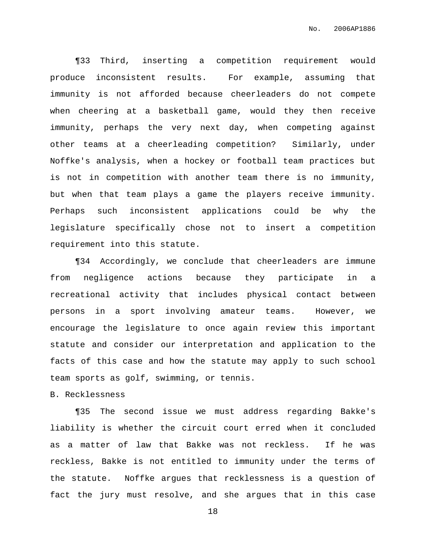¶33 Third, inserting a competition requirement would produce inconsistent results. For example, assuming that immunity is not afforded because cheerleaders do not compete when cheering at a basketball game, would they then receive immunity, perhaps the very next day, when competing against other teams at a cheerleading competition? Similarly, under Noffke's analysis, when a hockey or football team practices but is not in competition with another team there is no immunity, but when that team plays a game the players receive immunity. Perhaps such inconsistent applications could be why the legislature specifically chose not to insert a competition requirement into this statute.

¶34 Accordingly, we conclude that cheerleaders are immune from negligence actions because they participate in a recreational activity that includes physical contact between persons in a sport involving amateur teams. However, we encourage the legislature to once again review this important statute and consider our interpretation and application to the facts of this case and how the statute may apply to such school team sports as golf, swimming, or tennis.

## B. Recklessness

¶35 The second issue we must address regarding Bakke's liability is whether the circuit court erred when it concluded as a matter of law that Bakke was not reckless. If he was reckless, Bakke is not entitled to immunity under the terms of the statute. Noffke argues that recklessness is a question of fact the jury must resolve, and she argues that in this case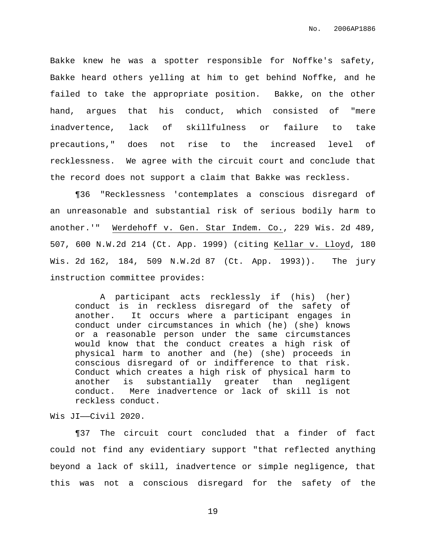Bakke knew he was a spotter responsible for Noffke's safety, Bakke heard others yelling at him to get behind Noffke, and he failed to take the appropriate position. Bakke, on the other hand, argues that his conduct, which consisted of "mere inadvertence, lack of skillfulness or failure to take precautions," does not rise to the increased level of recklessness. We agree with the circuit court and conclude that the record does not support a claim that Bakke was reckless.

¶36 "Recklessness 'contemplates a conscious disregard of an unreasonable and substantial risk of serious bodily harm to another.'" Werdehoff v. Gen. Star Indem. Co., 229 Wis. 2d 489, 507, 600 N.W.2d 214 (Ct. App. 1999) (citing Kellar v. Lloyd, 180 Wis. 2d 162, 184, 509 N.W.2d 87 (Ct. App. 1993)). The jury instruction committee provides:

A participant acts recklessly if (his) (her) conduct is in reckless disregard of the safety of another. It occurs where a participant engages in conduct under circumstances in which (he) (she) knows or a reasonable person under the same circumstances would know that the conduct creates a high risk of physical harm to another and (he) (she) proceeds in conscious disregard of or indifference to that risk. Conduct which creates a high risk of physical harm to another is substantially greater than negligent conduct. Mere inadvertence or lack of skill is not reckless conduct.

Wis JI——Civil 2020.

¶37 The circuit court concluded that a finder of fact could not find any evidentiary support "that reflected anything beyond a lack of skill, inadvertence or simple negligence, that this was not a conscious disregard for the safety of the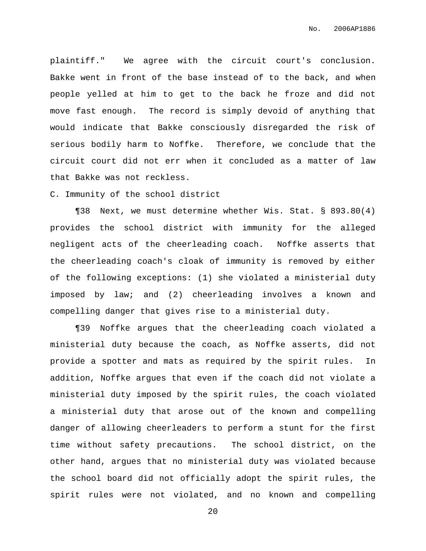plaintiff." We agree with the circuit court's conclusion. Bakke went in front of the base instead of to the back, and when people yelled at him to get to the back he froze and did not move fast enough. The record is simply devoid of anything that would indicate that Bakke consciously disregarded the risk of serious bodily harm to Noffke. Therefore, we conclude that the circuit court did not err when it concluded as a matter of law that Bakke was not reckless.

C. Immunity of the school district

¶38 Next, we must determine whether Wis. Stat. § 893.80(4) provides the school district with immunity for the alleged negligent acts of the cheerleading coach. Noffke asserts that the cheerleading coach's cloak of immunity is removed by either of the following exceptions: (1) she violated a ministerial duty imposed by law; and (2) cheerleading involves a known and compelling danger that gives rise to a ministerial duty.

¶39 Noffke argues that the cheerleading coach violated a ministerial duty because the coach, as Noffke asserts, did not provide a spotter and mats as required by the spirit rules. In addition, Noffke argues that even if the coach did not violate a ministerial duty imposed by the spirit rules, the coach violated a ministerial duty that arose out of the known and compelling danger of allowing cheerleaders to perform a stunt for the first time without safety precautions. The school district, on the other hand, argues that no ministerial duty was violated because the school board did not officially adopt the spirit rules, the spirit rules were not violated, and no known and compelling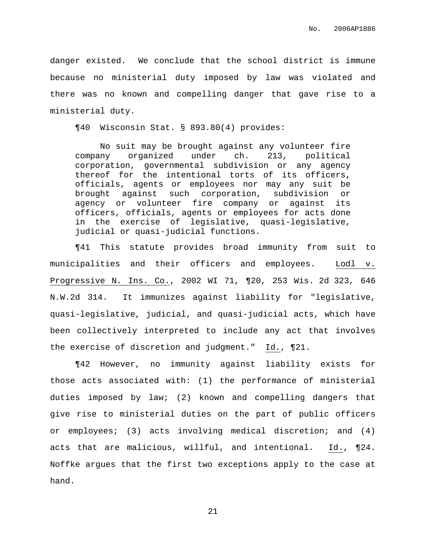danger existed. We conclude that the school district is immune because no ministerial duty imposed by law was violated and there was no known and compelling danger that gave rise to a ministerial duty.

¶40 Wisconsin Stat. § 893.80(4) provides:

No suit may be brought against any volunteer fire company organized under ch. 213, political corporation, governmental subdivision or any agency thereof for the intentional torts of its officers, officials, agents or employees nor may any suit be brought against such corporation, subdivision or agency or volunteer fire company or against its officers, officials, agents or employees for acts done in the exercise of legislative, quasi-legislative, judicial or quasi-judicial functions.

¶41 This statute provides broad immunity from suit to municipalities and their officers and employees. Lodl v. Progressive N. Ins. Co., 2002 WI 71, ¶20, 253 Wis. 2d 323, 646 N.W.2d 314. It immunizes against liability for "legislative, quasi-legislative, judicial, and quasi-judicial acts, which have been collectively interpreted to include any act that involves the exercise of discretion and judgment." Id., ¶21.

¶42 However, no immunity against liability exists for those acts associated with: (1) the performance of ministerial duties imposed by law; (2) known and compelling dangers that give rise to ministerial duties on the part of public officers or employees; (3) acts involving medical discretion; and (4) acts that are malicious, willful, and intentional. Id., ¶24. Noffke argues that the first two exceptions apply to the case at hand.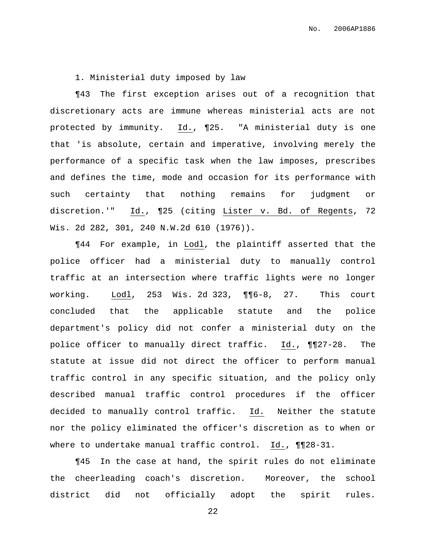1. Ministerial duty imposed by law

¶43 The first exception arises out of a recognition that discretionary acts are immune whereas ministerial acts are not protected by immunity. Id., ¶25. "A ministerial duty is one that 'is absolute, certain and imperative, involving merely the performance of a specific task when the law imposes, prescribes and defines the time, mode and occasion for its performance with such certainty that nothing remains for judgment or discretion.'" Id., ¶25 (citing Lister v. Bd. of Regents, 72 Wis. 2d 282, 301, 240 N.W.2d 610 (1976)).

¶44 For example, in Lodl, the plaintiff asserted that the police officer had a ministerial duty to manually control traffic at an intersection where traffic lights were no longer working. Lodl, 253 Wis. 2d 323, ¶¶6-8, 27. This court concluded that the applicable statute and the police department's policy did not confer a ministerial duty on the police officer to manually direct traffic. Id., ¶¶27-28. The statute at issue did not direct the officer to perform manual traffic control in any specific situation, and the policy only described manual traffic control procedures if the officer decided to manually control traffic. Id. Neither the statute nor the policy eliminated the officer's discretion as to when or where to undertake manual traffic control. Id., ¶¶28-31.

¶45 In the case at hand, the spirit rules do not eliminate the cheerleading coach's discretion. Moreover, the school district did not officially adopt the spirit rules.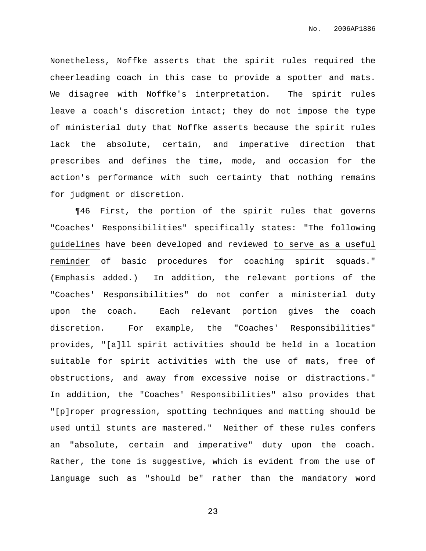Nonetheless, Noffke asserts that the spirit rules required the cheerleading coach in this case to provide a spotter and mats. We disagree with Noffke's interpretation. The spirit rules leave a coach's discretion intact; they do not impose the type of ministerial duty that Noffke asserts because the spirit rules lack the absolute, certain, and imperative direction that prescribes and defines the time, mode, and occasion for the action's performance with such certainty that nothing remains for judgment or discretion.

¶46 First, the portion of the spirit rules that governs "Coaches' Responsibilities" specifically states: "The following guidelines have been developed and reviewed to serve as a useful reminder of basic procedures for coaching spirit squads." (Emphasis added.) In addition, the relevant portions of the "Coaches' Responsibilities" do not confer a ministerial duty upon the coach. Each relevant portion gives the coach discretion. For example, the "Coaches' Responsibilities" provides, "[a]ll spirit activities should be held in a location suitable for spirit activities with the use of mats, free of obstructions, and away from excessive noise or distractions." In addition, the "Coaches' Responsibilities" also provides that "[p]roper progression, spotting techniques and matting should be used until stunts are mastered." Neither of these rules confers an "absolute, certain and imperative" duty upon the coach. Rather, the tone is suggestive, which is evident from the use of language such as "should be" rather than the mandatory word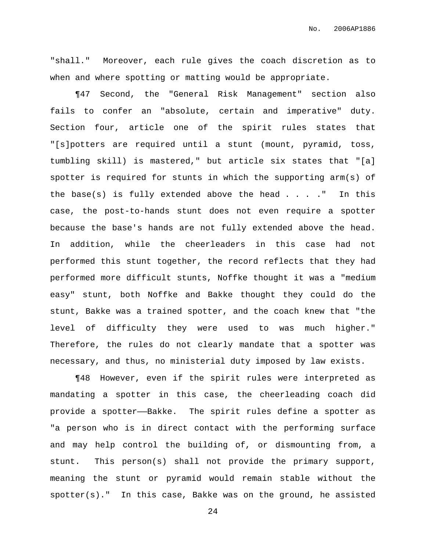"shall." Moreover, each rule gives the coach discretion as to when and where spotting or matting would be appropriate.

¶47 Second, the "General Risk Management" section also fails to confer an "absolute, certain and imperative" duty. Section four, article one of the spirit rules states that "[s]potters are required until a stunt (mount, pyramid, toss, tumbling skill) is mastered," but article six states that "[a] spotter is required for stunts in which the supporting arm(s) of the base(s) is fully extended above the head  $\ldots$ ." In this case, the post-to-hands stunt does not even require a spotter because the base's hands are not fully extended above the head. In addition, while the cheerleaders in this case had not performed this stunt together, the record reflects that they had performed more difficult stunts, Noffke thought it was a "medium easy" stunt, both Noffke and Bakke thought they could do the stunt, Bakke was a trained spotter, and the coach knew that "the level of difficulty they were used to was much higher." Therefore, the rules do not clearly mandate that a spotter was necessary, and thus, no ministerial duty imposed by law exists.

¶48 However, even if the spirit rules were interpreted as mandating a spotter in this case, the cheerleading coach did provide a spotter——Bakke. The spirit rules define a spotter as "a person who is in direct contact with the performing surface and may help control the building of, or dismounting from, a stunt. This person(s) shall not provide the primary support, meaning the stunt or pyramid would remain stable without the spotter(s)." In this case, Bakke was on the ground, he assisted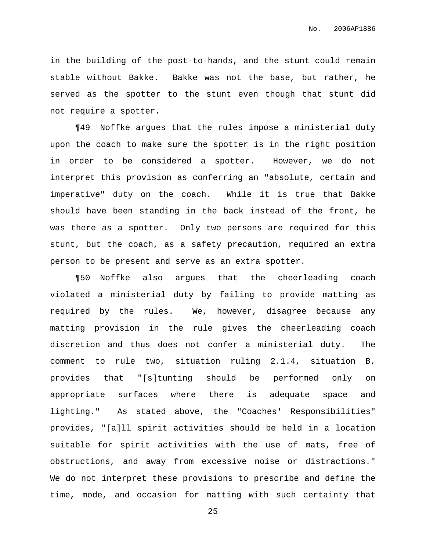in the building of the post-to-hands, and the stunt could remain stable without Bakke. Bakke was not the base, but rather, he served as the spotter to the stunt even though that stunt did not require a spotter.

¶49 Noffke argues that the rules impose a ministerial duty upon the coach to make sure the spotter is in the right position in order to be considered a spotter. However, we do not interpret this provision as conferring an "absolute, certain and imperative" duty on the coach. While it is true that Bakke should have been standing in the back instead of the front, he was there as a spotter. Only two persons are required for this stunt, but the coach, as a safety precaution, required an extra person to be present and serve as an extra spotter.

¶50 Noffke also argues that the cheerleading coach violated a ministerial duty by failing to provide matting as required by the rules. We, however, disagree because any matting provision in the rule gives the cheerleading coach discretion and thus does not confer a ministerial duty. The comment to rule two, situation ruling 2.1.4, situation B, provides that "[s]tunting should be performed only on appropriate surfaces where there is adequate space and lighting." As stated above, the "Coaches' Responsibilities" provides, "[a]ll spirit activities should be held in a location suitable for spirit activities with the use of mats, free of obstructions, and away from excessive noise or distractions." We do not interpret these provisions to prescribe and define the time, mode, and occasion for matting with such certainty that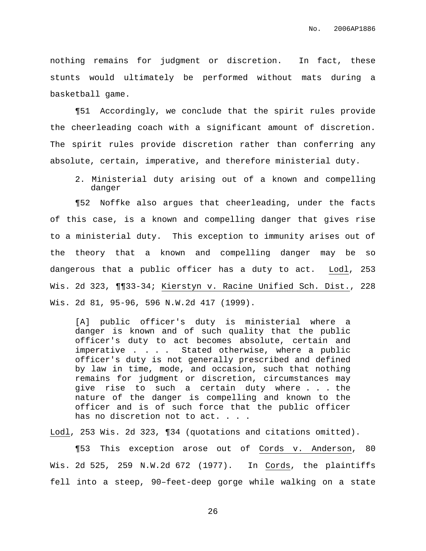nothing remains for judgment or discretion. In fact, these stunts would ultimately be performed without mats during a basketball game.

¶51 Accordingly, we conclude that the spirit rules provide the cheerleading coach with a significant amount of discretion. The spirit rules provide discretion rather than conferring any absolute, certain, imperative, and therefore ministerial duty.

2. Ministerial duty arising out of a known and compelling danger

¶52 Noffke also argues that cheerleading, under the facts of this case, is a known and compelling danger that gives rise to a ministerial duty. This exception to immunity arises out of the theory that a known and compelling danger may be so dangerous that a public officer has a duty to act. Lodl, 253 Wis. 2d 323, ¶¶33-34; Kierstyn v. Racine Unified Sch. Dist., 228 Wis. 2d 81, 95-96, 596 N.W.2d 417 (1999).

[A] public officer's duty is ministerial where a danger is known and of such quality that the public officer's duty to act becomes absolute, certain and imperative . . . . Stated otherwise, where a public officer's duty is not generally prescribed and defined by law in time, mode, and occasion, such that nothing remains for judgment or discretion, circumstances may give rise to such a certain duty where . . . the nature of the danger is compelling and known to the officer and is of such force that the public officer has no discretion not to act. . . .

Lodl, 253 Wis. 2d 323, ¶34 (quotations and citations omitted).

¶53 This exception arose out of Cords v. Anderson, 80 Wis. 2d 525, 259 N.W.2d 672 (1977). In Cords, the plaintiffs fell into a steep, 90–feet-deep gorge while walking on a state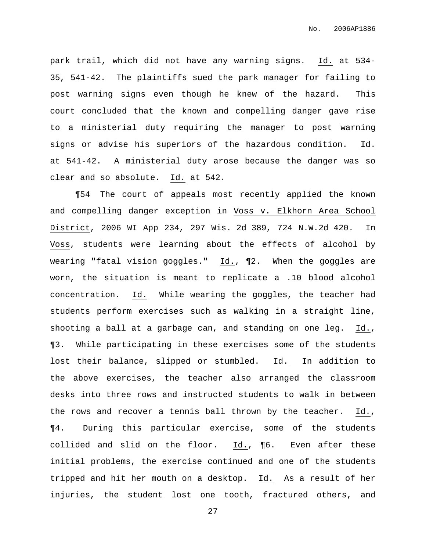park trail, which did not have any warning signs. Id. at 534- 35, 541-42. The plaintiffs sued the park manager for failing to post warning signs even though he knew of the hazard. This court concluded that the known and compelling danger gave rise to a ministerial duty requiring the manager to post warning signs or advise his superiors of the hazardous condition. Id. at 541-42. A ministerial duty arose because the danger was so clear and so absolute. Id. at 542.

¶54 The court of appeals most recently applied the known and compelling danger exception in Voss v. Elkhorn Area School District, 2006 WI App 234, 297 Wis. 2d 389, 724 N.W.2d 420. In Voss, students were learning about the effects of alcohol by wearing "fatal vision goggles." Id., ¶2. When the goggles are worn, the situation is meant to replicate a .10 blood alcohol concentration. Id. While wearing the goggles, the teacher had students perform exercises such as walking in a straight line, shooting a ball at a garbage can, and standing on one leg. Id., ¶3. While participating in these exercises some of the students lost their balance, slipped or stumbled. Id. In addition to the above exercises, the teacher also arranged the classroom desks into three rows and instructed students to walk in between the rows and recover a tennis ball thrown by the teacher. Id., ¶4. During this particular exercise, some of the students collided and slid on the floor. Id., ¶6. Even after these initial problems, the exercise continued and one of the students tripped and hit her mouth on a desktop. Id. As a result of her injuries, the student lost one tooth, fractured others, and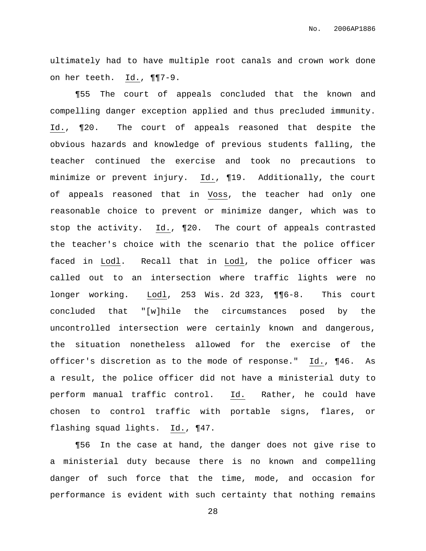ultimately had to have multiple root canals and crown work done on her teeth. Id., ¶¶7-9.

¶55 The court of appeals concluded that the known and compelling danger exception applied and thus precluded immunity. Id., ¶20. The court of appeals reasoned that despite the obvious hazards and knowledge of previous students falling, the teacher continued the exercise and took no precautions to minimize or prevent injury. Id., ¶19. Additionally, the court of appeals reasoned that in Voss, the teacher had only one reasonable choice to prevent or minimize danger, which was to stop the activity. Id., ¶20. The court of appeals contrasted the teacher's choice with the scenario that the police officer faced in Lodl. Recall that in Lodl, the police officer was called out to an intersection where traffic lights were no longer working. Lodl, 253 Wis. 2d 323, ¶¶6-8. This court concluded that "[w]hile the circumstances posed by the uncontrolled intersection were certainly known and dangerous, the situation nonetheless allowed for the exercise of the officer's discretion as to the mode of response." Id., ¶46. As a result, the police officer did not have a ministerial duty to perform manual traffic control. Id. Rather, he could have chosen to control traffic with portable signs, flares, or flashing squad lights. Id., ¶47.

¶56 In the case at hand, the danger does not give rise to a ministerial duty because there is no known and compelling danger of such force that the time, mode, and occasion for performance is evident with such certainty that nothing remains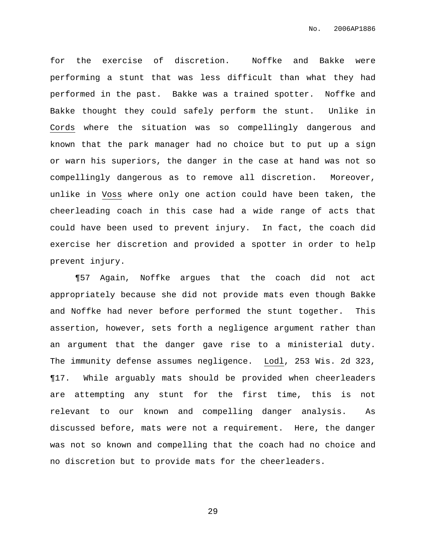for the exercise of discretion. Noffke and Bakke were performing a stunt that was less difficult than what they had performed in the past. Bakke was a trained spotter. Noffke and Bakke thought they could safely perform the stunt. Unlike in Cords where the situation was so compellingly dangerous and known that the park manager had no choice but to put up a sign or warn his superiors, the danger in the case at hand was not so compellingly dangerous as to remove all discretion. Moreover, unlike in Voss where only one action could have been taken, the cheerleading coach in this case had a wide range of acts that could have been used to prevent injury. In fact, the coach did exercise her discretion and provided a spotter in order to help prevent injury.

¶57 Again, Noffke argues that the coach did not act appropriately because she did not provide mats even though Bakke and Noffke had never before performed the stunt together. This assertion, however, sets forth a negligence argument rather than an argument that the danger gave rise to a ministerial duty. The immunity defense assumes negligence. Lodl, 253 Wis. 2d 323, ¶17. While arguably mats should be provided when cheerleaders are attempting any stunt for the first time, this is not relevant to our known and compelling danger analysis. As discussed before, mats were not a requirement. Here, the danger was not so known and compelling that the coach had no choice and no discretion but to provide mats for the cheerleaders.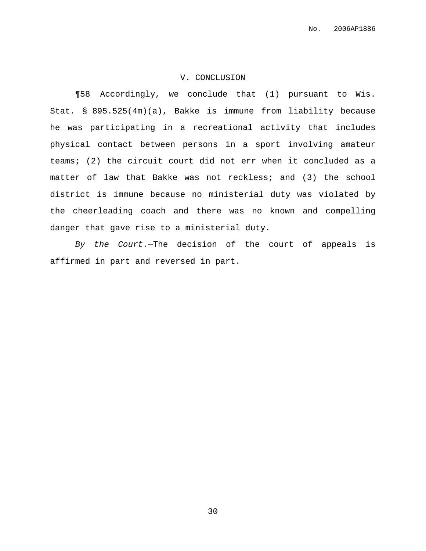## V. CONCLUSION

¶58 Accordingly, we conclude that (1) pursuant to Wis. Stat. § 895.525(4m)(a), Bakke is immune from liability because he was participating in a recreational activity that includes physical contact between persons in a sport involving amateur teams; (2) the circuit court did not err when it concluded as a matter of law that Bakke was not reckless; and (3) the school district is immune because no ministerial duty was violated by the cheerleading coach and there was no known and compelling danger that gave rise to a ministerial duty.

By the Court.—The decision of the court of appeals is affirmed in part and reversed in part.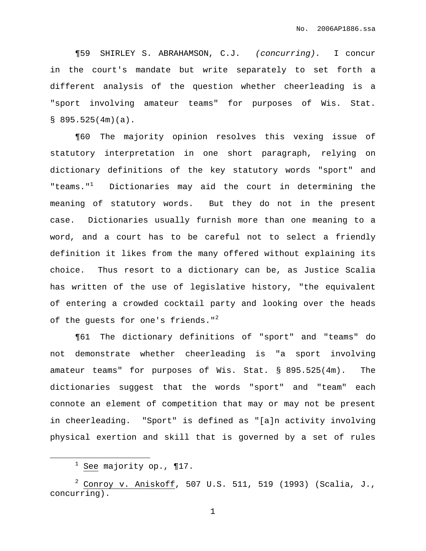¶59 SHIRLEY S. ABRAHAMSON, C.J. (concurring). I concur in the court's mandate but write separately to set forth a different analysis of the question whether cheerleading is a "sport involving amateur teams" for purposes of Wis. Stat.  $$895.525(4m)(a)$ .

¶60 The majority opinion resolves this vexing issue of statutory interpretation in one short paragraph, relying on dictionary definitions of the key statutory words "sport" and "teams."<sup>1</sup> Dictionaries may aid the court in determining the meaning of statutory words. But they do not in the present case. Dictionaries usually furnish more than one meaning to a word, and a court has to be careful not to select a friendly definition it likes from the many offered without explaining its choice. Thus resort to a dictionary can be, as Justice Scalia has written of the use of legislative history, "the equivalent of entering a crowded cocktail party and looking over the heads of the guests for one's friends."<sup>2</sup>

¶61 The dictionary definitions of "sport" and "teams" do not demonstrate whether cheerleading is "a sport involving amateur teams" for purposes of Wis. Stat. § 895.525(4m). The dictionaries suggest that the words "sport" and "team" each connote an element of competition that may or may not be present in cheerleading. "Sport" is defined as "[a]n activity involving physical exertion and skill that is governed by a set of rules

 $1$  See majority op., ¶17.

 $^2$  Conroy v. Aniskoff, 507 U.S. 511, 519 (1993) (Scalia, J., concurring).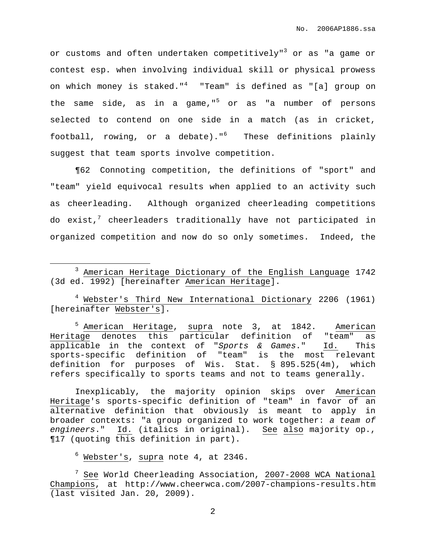or customs and often undertaken competitively"<sup>3</sup> or as "a game or contest esp. when involving individual skill or physical prowess on which money is staked."<sup>4</sup> "Team" is defined as "[a] group on the same side, as in a game," <sup>5</sup> or as "a number of persons selected to contend on one side in a match (as in cricket, football, rowing, or a debate)." <sup>6</sup> These definitions plainly suggest that team sports involve competition.

¶62 Connoting competition, the definitions of "sport" and "team" yield equivocal results when applied to an activity such as cheerleading. Although organized cheerleading competitions do exist, $^7$  cheerleaders traditionally have not participated in organized competition and now do so only sometimes. Indeed, the

<sup>4</sup> Webster's Third New International Dictionary 2206 (1961) [hereinafter Webster's].

<sup>5</sup> American Heritage, supra note 3, at 1842. American Heritage denotes this particular definition of "team" as applicable in the context of "Sports & Games." Id. This sports-specific definition of "team" is the most relevant definition for purposes of Wis. Stat. § 895.525(4m), which refers specifically to sports teams and not to teams generally.

Inexplicably, the majority opinion skips over American Heritage's sports-specific definition of "team" in favor of an alternative definition that obviously is meant to apply in broader contexts: "a group organized to work together: a team of engineers." Id. (italics in original). See also majority op., ¶17 (quoting this definition in part).

 $6$  Webster's, supra note 4, at 2346.

<sup>3</sup> American Heritage Dictionary of the English Language 1742 (3d ed. 1992) [hereinafter American Heritage].

<sup>&</sup>lt;sup>7</sup> See World Cheerleading Association, 2007-2008 WCA National Champions, at http://www.cheerwca.com/2007-champions-results.htm (last visited Jan. 20, 2009).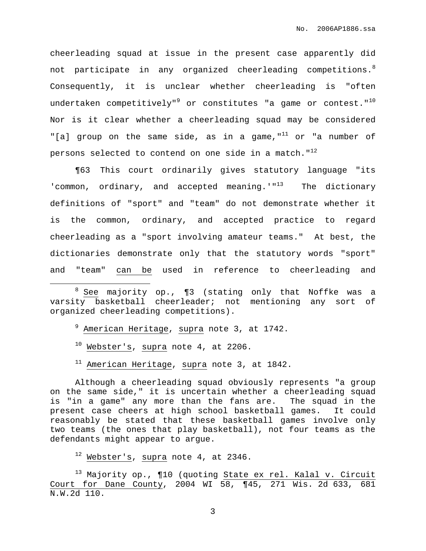cheerleading squad at issue in the present case apparently did not participate in any organized cheerleading competitions. $^8$ Consequently, it is unclear whether cheerleading is "often undertaken competitively" $^9$  or constitutes "a game or contest." $^{10}$ Nor is it clear whether a cheerleading squad may be considered "[a] group on the same side, as in a game,"<sup>11</sup> or "a number of persons selected to contend on one side in a match."<sup>12</sup>

¶63 This court ordinarily gives statutory language "its 'common, ordinary, and accepted meaning.'"<sup>13</sup> The dictionary definitions of "sport" and "team" do not demonstrate whether it is the common, ordinary, and accepted practice to regard cheerleading as a "sport involving amateur teams." At best, the dictionaries demonstrate only that the statutory words "sport" and "team" can be used in reference to cheerleading and

- <sup>9</sup> American Heritage, supra note 3, at 1742.
- $10$  Webster's, supra note 4, at 2206.
- $11$  American Heritage, supra note 3, at 1842.

Although a cheerleading squad obviously represents "a group on the same side," it is uncertain whether a cheerleading squad is "in a game" any more than the fans are. The squad in the present case cheers at high school basketball games. It could reasonably be stated that these basketball games involve only two teams (the ones that play basketball), not four teams as the defendants might appear to argue.

 $12$  Webster's, supra note 4, at 2346.

<sup>13</sup> Majority op., ¶10 (quoting State ex rel. Kalal v. Circuit Court for Dane County, 2004 WI 58, ¶45, 271 Wis. 2d 633, 681 N.W.2d 110.

 $8$  See majority op.,  $\P$ 3 (stating only that Noffke was a varsity basketball cheerleader; not mentioning any sort of organized cheerleading competitions).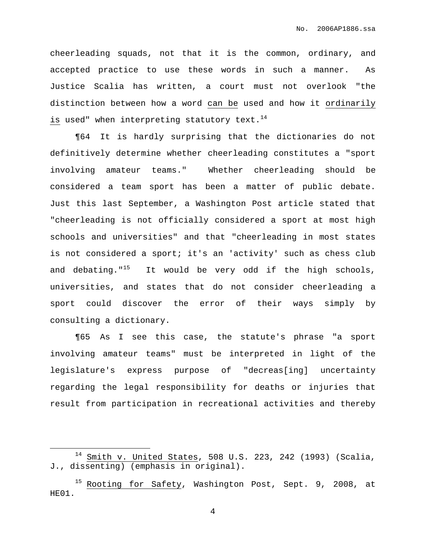cheerleading squads, not that it is the common, ordinary, and accepted practice to use these words in such a manner. As Justice Scalia has written, a court must not overlook "the distinction between how a word can be used and how it ordinarily is used" when interpreting statutory text.<sup>14</sup>

¶64 It is hardly surprising that the dictionaries do not definitively determine whether cheerleading constitutes a "sport involving amateur teams." Whether cheerleading should be considered a team sport has been a matter of public debate. Just this last September, a Washington Post article stated that "cheerleading is not officially considered a sport at most high schools and universities" and that "cheerleading in most states is not considered a sport; it's an 'activity' such as chess club and debating."<sup>15</sup> It would be very odd if the high schools, universities, and states that do not consider cheerleading a sport could discover the error of their ways simply by consulting a dictionary.

¶65 As I see this case, the statute's phrase "a sport involving amateur teams" must be interpreted in light of the legislature's express purpose of "decreas[ing] uncertainty regarding the legal responsibility for deaths or injuries that result from participation in recreational activities and thereby

 $14$  Smith v. United States, 508 U.S. 223, 242 (1993) (Scalia, J., dissenting) (emphasis in original).

Rooting for Safety, Washington Post, Sept. 9, 2008, at HE01.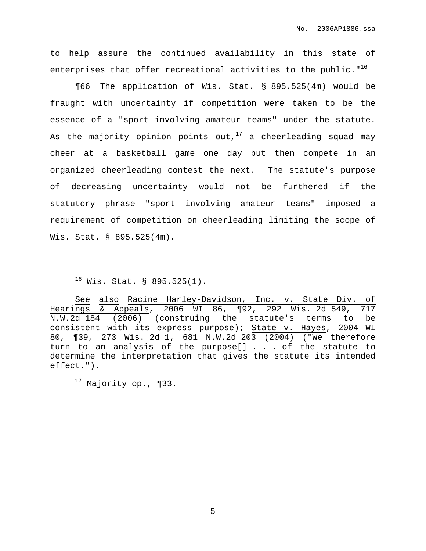to help assure the continued availability in this state of enterprises that offer recreational activities to the public." $^{16}$ 

¶66 The application of Wis. Stat. § 895.525(4m) would be fraught with uncertainty if competition were taken to be the essence of a "sport involving amateur teams" under the statute. As the majority opinion points out, $^{17}$  a cheerleading squad may cheer at a basketball game one day but then compete in an organized cheerleading contest the next. The statute's purpose of decreasing uncertainty would not be furthered if the statutory phrase "sport involving amateur teams" imposed a requirement of competition on cheerleading limiting the scope of Wis. Stat. § 895.525(4m).

See also Racine Harley-Davidson, Inc. v. State Div. of Hearings & Appeals, 2006 WI 86, ¶92, 292 Wis. 2d 549, 717 N.W.2d 184 (2006) (construing the statute's terms to be consistent with its express purpose); State v. Hayes, 2004 WI 80, ¶39, 273 Wis. 2d 1, 681 N.W.2d 203 (2004) ("We therefore turn to an analysis of the purpose[] . . . of the statute to determine the interpretation that gives the statute its intended effect.").

 $17$  Majority op., ¶33.

 $16$  Wis. Stat. § 895.525(1).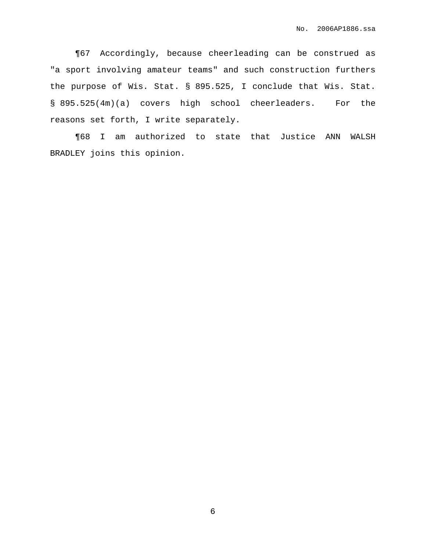¶67 Accordingly, because cheerleading can be construed as "a sport involving amateur teams" and such construction furthers the purpose of Wis. Stat. § 895.525, I conclude that Wis. Stat. § 895.525(4m)(a) covers high school cheerleaders. For the reasons set forth, I write separately.

¶68 I am authorized to state that Justice ANN WALSH BRADLEY joins this opinion.